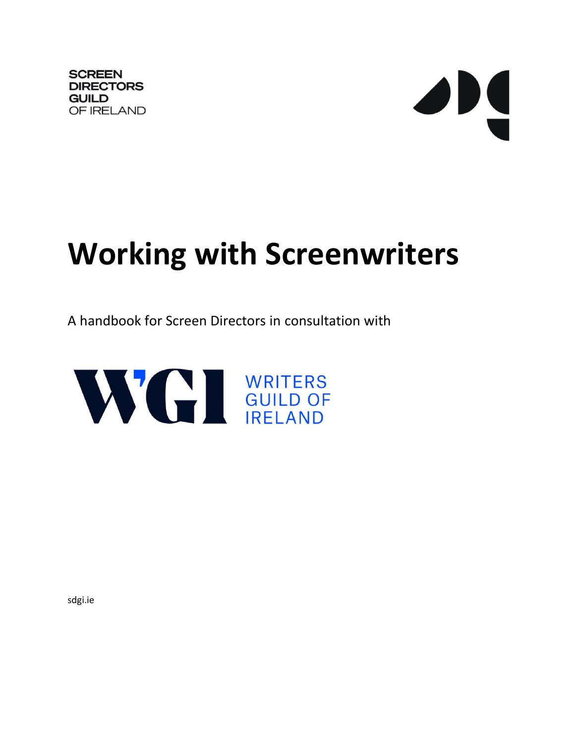**SCREEN DIRECTORS GUILD** OF IRELAND # **Working with Screenwriters**

A handbook for Screen Directors in consultation with



sdgi.ie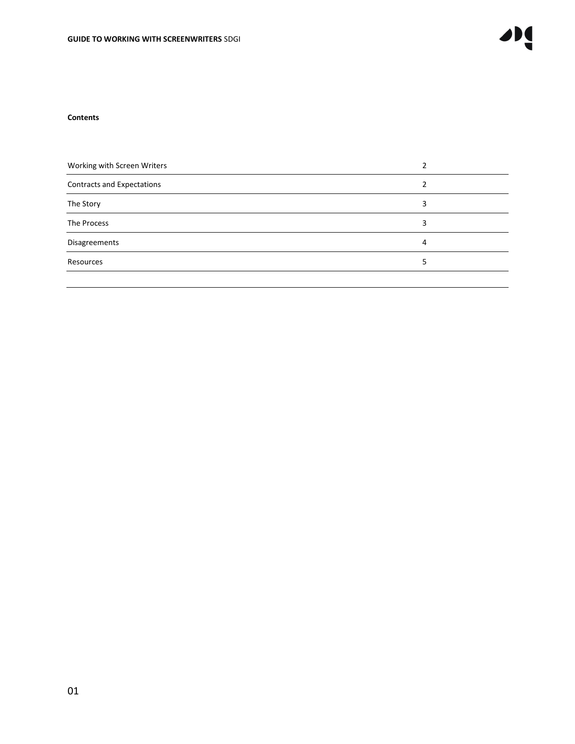#### **Contents**

| Working with Screen Writers |   |
|-----------------------------|---|
| Contracts and Expectations  |   |
| The Story                   | 3 |
| The Process                 | 3 |
| Disagreements               | 4 |
| Resources                   | 5 |
|                             |   |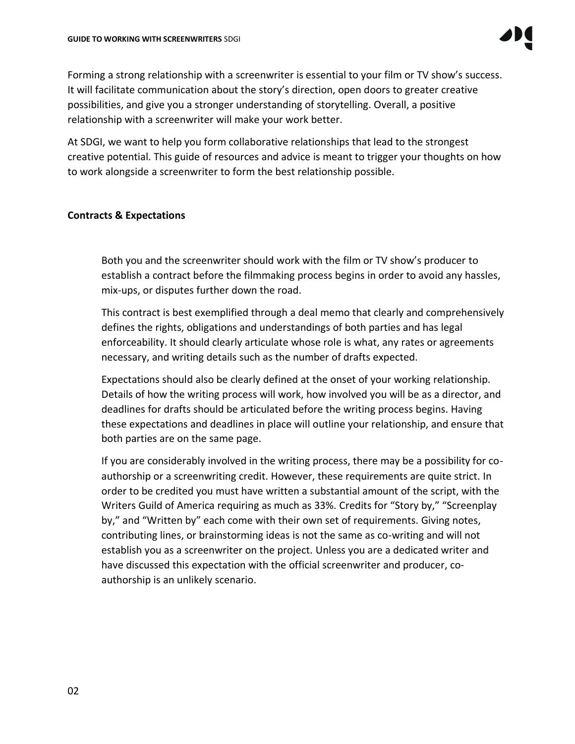Forming a strong relationship with a screenwriter is essential to your film or TV show's success. It will facilitate communication about the story's direction, open doors to greater creative possibilities, and give you a stronger understanding of storytelling. Overall, a positive relationship with a screenwriter will make your work better.

At SDGI, we want to help you form collaborative relationships that lead to the strongest creative potential. This guide of resources and advice is meant to trigger your thoughts on how to work alongside a screenwriter to form the best relationship possible.

## **Contracts & Expectations**

Both you and the screenwriter should work with the film or TV show's producer to establish a contract before the filmmaking process begins in order to avoid any hassles, mix-ups, or disputes further down the road.

This contract is best exemplified through a deal memo that clearly and comprehensively defines the rights, obligations and understandings of both parties and has legal enforceability. It should clearly articulate whose role is what, any rates or agreements necessary, and writing details such as the number of drafts expected.

Expectations should also be clearly defined at the onset of your working relationship. Details of how the writing process will work, how involved you will be as a director, and deadlines for drafts should be articulated before the writing process begins. Having these expectations and deadlines in place will outline your relationship, and ensure that both parties are on the same page.

If you are considerably involved in the writing process, there may be a possibility for coauthorship or a screenwriting credit. However, these requirements are quite strict. In order to be credited you must have written a substantial amount of the script, with the Writers Guild of America requiring as much as 33%. Credits for "Story by," "Screenplay by," and "Written by" each come with their own set of requirements. Giving notes, contributing lines, or brainstorming ideas is not the same as co-writing and will not establish you as a screenwriter on the project. Unless you are a dedicated writer and have discussed this expectation with the official screenwriter and producer, coauthorship is an unlikely scenario.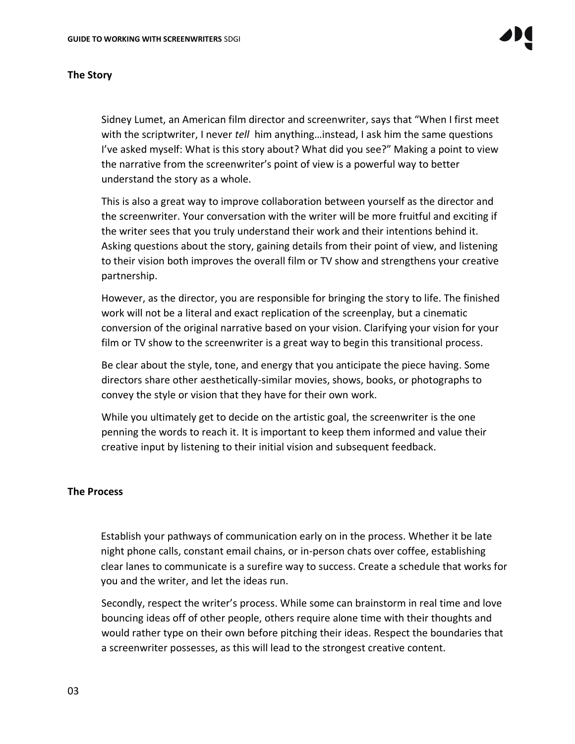#### **The Story**

Sidney Lumet, an American film director and screenwriter, says that "When I first meet with the scriptwriter, I never *tell* him anything…instead, I ask him the same questions I've asked myself: What is this story about? What did you see?" Making a point to view the narrative from the screenwriter's point of view is a powerful way to better understand the story as a whole.

This is also a great way to improve collaboration between yourself as the director and the screenwriter. Your conversation with the writer will be more fruitful and exciting if the writer sees that you truly understand their work and their intentions behind it. Asking questions about the story, gaining details from their point of view, and listening to their vision both improves the overall film or TV show and strengthens your creative partnership.

However, as the director, you are responsible for bringing the story to life. The finished work will not be a literal and exact replication of the screenplay, but a cinematic conversion of the original narrative based on your vision. Clarifying your vision for your film or TV show to the screenwriter is a great way to begin this transitional process.

Be clear about the style, tone, and energy that you anticipate the piece having. Some directors share other aesthetically-similar movies, shows, books, or photographs to convey the style or vision that they have for their own work.

While you ultimately get to decide on the artistic goal, the screenwriter is the one penning the words to reach it. It is important to keep them informed and value their creative input by listening to their initial vision and subsequent feedback.

#### **The Process**

Establish your pathways of communication early on in the process. Whether it be late night phone calls, constant email chains, or in-person chats over coffee, establishing clear lanes to communicate is a surefire way to success. Create a schedule that works for you and the writer, and let the ideas run.

Secondly, respect the writer's process. While some can brainstorm in real time and love bouncing ideas off of other people, others require alone time with their thoughts and would rather type on their own before pitching their ideas. Respect the boundaries that a screenwriter possesses, as this will lead to the strongest creative content.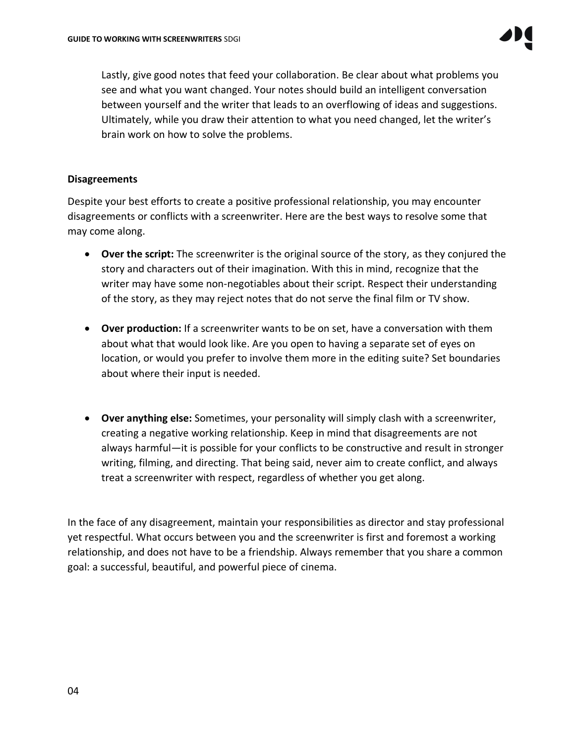Lastly, give good notes that feed your collaboration. Be clear about what problems you see and what you want changed. Your notes should build an intelligent conversation between yourself and the writer that leads to an overflowing of ideas and suggestions. Ultimately, while you draw their attention to what you need changed, let the writer's brain work on how to solve the problems.

### **Disagreements**

Despite your best efforts to create a positive professional relationship, you may encounter disagreements or conflicts with a screenwriter. Here are the best ways to resolve some that may come along.

- **Over the script:** The screenwriter is the original source of the story, as they conjured the story and characters out of their imagination. With this in mind, recognize that the writer may have some non-negotiables about their script. Respect their understanding of the story, as they may reject notes that do not serve the final film or TV show.
- **Over production:** If a screenwriter wants to be on set, have a conversation with them about what that would look like. Are you open to having a separate set of eyes on location, or would you prefer to involve them more in the editing suite? Set boundaries about where their input is needed.
- **Over anything else:** Sometimes, your personality will simply clash with a screenwriter, creating a negative working relationship. Keep in mind that disagreements are not always harmful—it is possible for your conflicts to be constructive and result in stronger writing, filming, and directing. That being said, never aim to create conflict, and always treat a screenwriter with respect, regardless of whether you get along.

In the face of any disagreement, maintain your responsibilities as director and stay professional yet respectful. What occurs between you and the screenwriter is first and foremost a working relationship, and does not have to be a friendship. Always remember that you share a common goal: a successful, beautiful, and powerful piece of cinema.